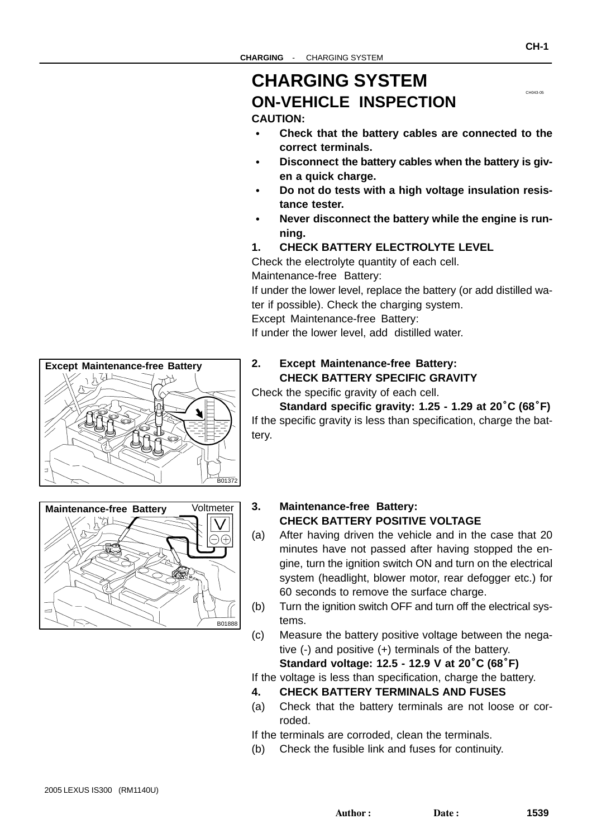# <span id="page-0-0"></span>**CHARGING SYSTEM ON-VEHICLE INSPECTION**

## **CAUTION:**

- **Check that the battery cables are connected to the correct terminals.**
- **Disconnect the battery cables when the battery is given a quick charge.**
- **Do not do tests with a high voltage insulation resistance tester.**
- **Never disconnect the battery while the engine is running.**
- **1. CHECK BATTERY ELECTROLYTE LEVEL**

Check the electrolyte quantity of each cell.

Maintenance-free Battery:

If under the lower level, replace the battery (or add distilled water if possible). Check the charging system.

Except Maintenance-free Battery:

If under the lower level, add distilled water.

#### **2. Except Maintenance-free Battery: CHECK BATTERY SPECIFIC GRAVITY**

Check the specific gravity of each cell.

**Standard specific gravity: 1.25 - 1.29 at 20**°**C (68**°**F)** If the specific gravity is less than specification, charge the battery.

# **Maintenance-free Battery Voltmeter** 72 B01888

#### **3. Maintenance-free Battery: CHECK BATTERY POSITIVE VOLTAGE**

- (a) After having driven the vehicle and in the case that 20 minutes have not passed after having stopped the engine, turn the ignition switch ON and turn on the electrical system (headlight, blower motor, rear defogger etc.) for 60 seconds to remove the surface charge.
- (b) Turn the ignition switch OFF and turn off the electrical systems.
- (c) Measure the battery positive voltage between the negative (-) and positive (+) terminals of the battery.

**Standard voltage: 12.5 - 12.9 V at 20**°**C (68**°**F)**

If the voltage is less than specification, charge the battery.

- **4. CHECK BATTERY TERMINALS AND FUSES**
- (a) Check that the battery terminals are not loose or corroded.

If the terminals are corroded, clean the terminals.

(b) Check the fusible link and fuses for continuity.



**Except Maintenance-free Battery**

CH043-05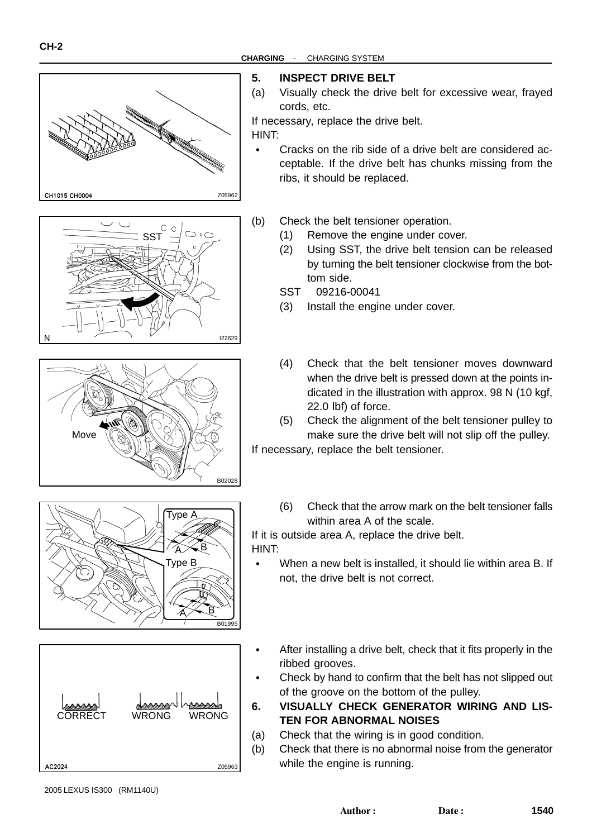#### **CHARGING** - CHARGING SYSTEM











#### **5. INSPECT DRIVE BELT**

(a) Visually check the drive belt for excessive wear, frayed cords, etc.

If necessary, replace the drive belt.

HINT:

 $\bullet$ 

- $\bullet$  Cracks on the rib side of a drive belt are considered acceptable. If the drive belt has chunks missing from the ribs, it should be replaced.
- (b) Check the belt tensioner operation.
	- (1) Remove the engine under cover.
	- (2) Using SST, the drive belt tension can be released by turning the belt tensioner clockwise from the bottom side.
	- SST 09216-00041
	- (3) Install the engine under cover.
	- (4) Check that the belt tensioner moves downward when the drive belt is pressed down at the points indicated in the illustration with approx. 98 N (10 kgf, 22.0 lbf) of force.
	- (5) Check the alignment of the belt tensioner pulley to make sure the drive belt will not slip off the pulley.

If necessary, replace the belt tensioner.

(6) Check that the arrow mark on the belt tensioner falls within area A of the scale.

If it is outside area A, replace the drive belt. HINT:

- When a new belt is installed, it should lie within area B. If not, the drive belt is not correct.
- After installing a drive belt, check that it fits properly in the ribbed grooves.
- Check by hand to confirm that the belt has not slipped out of the groove on the bottom of the pulley.
- **6. VISUALLY CHECK GENERATOR WIRING AND LIS-TEN FOR ABNORMAL NOISES**
- (a) Check that the wiring is in good condition.
- (b) Check that there is no abnormal noise from the generator while the engine is running.

2005 LEXUS IS300 (RM1140U)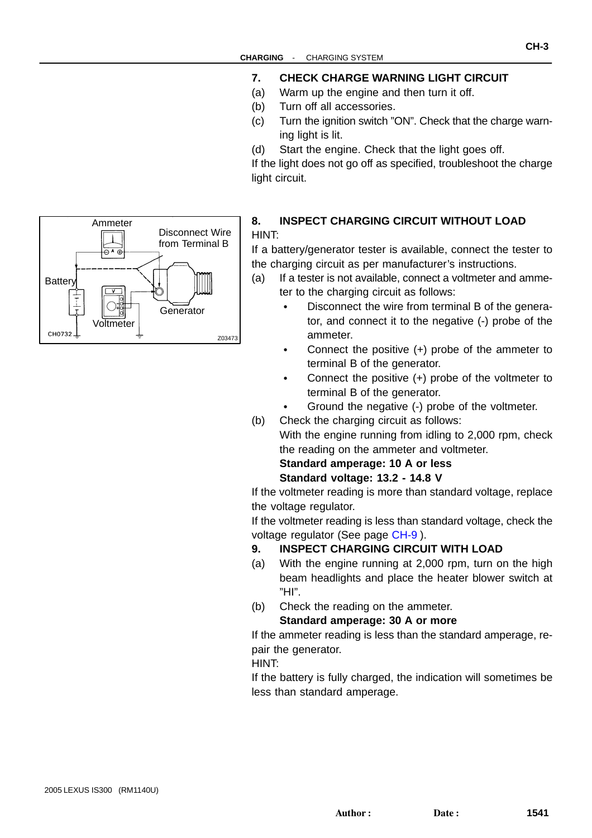- **7. CHECK CHARGE WARNING LIGHT CIRCUIT**
- (a) Warm up the engine and then turn it off.
- (b) Turn off all accessories.
- (c) Turn the ignition switch "ON". Check that the charge warning light is lit.
- (d) Start the engine. Check that the light goes off.

If the light does not go off as specified, troubleshoot the charge light circuit.



If a battery/generator tester is available, connect the tester to the charging circuit as per manufacturer's instructions.

- (a) If a tester is not available, connect a voltmeter and ammeter to the charging circuit as follows:
	- Disconnect the wire from terminal B of the generator, and connect it to the negative (-) probe of the ammeter.
	- Connect the positive (+) probe of the ammeter to terminal B of the generator.
	- Connect the positive (+) probe of the voltmeter to terminal B of the generator.
	- Ground the negative (-) probe of the voltmeter.
- (b) Check the charging circuit as follows:

With the engine running from idling to 2,000 rpm, check the reading on the ammeter and voltmeter.

#### **Standard amperage: 10 A or less Standard voltage: 13.2 - 14.8 V**

If the voltmeter reading is more than standard voltage, replace the voltage regulator.

If the voltmeter reading is less than standard voltage, check the voltage regulator (See page [CH-9](#page-0-0) ).

#### **9. INSPECT CHARGING CIRCUIT WITH LOAD**

- (a) With the engine running at 2,000 rpm, turn on the high beam headlights and place the heater blower switch at "HI".
- (b) Check the reading on the ammeter.

#### **Standard amperage: 30 A or more**

If the ammeter reading is less than the standard amperage, repair the generator.

HINT:

If the battery is fully charged, the indication will sometimes be less than standard amperage.

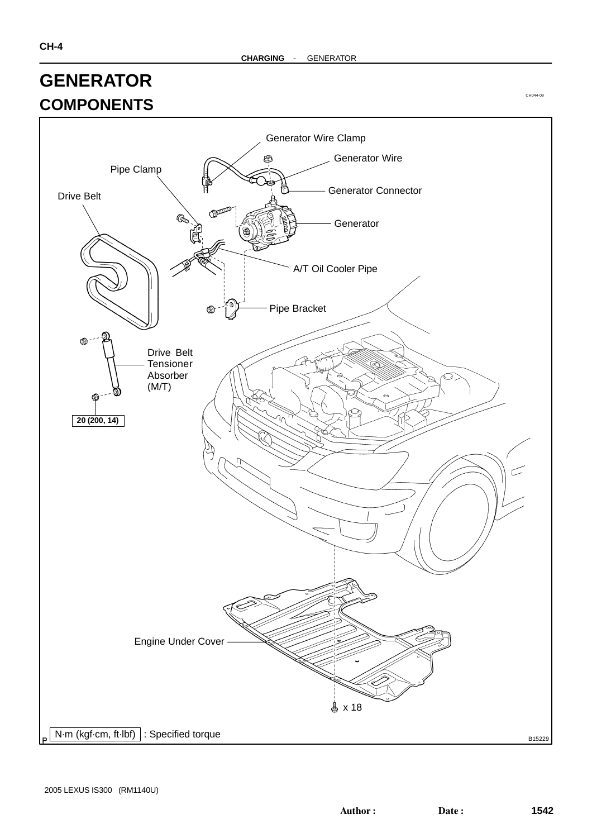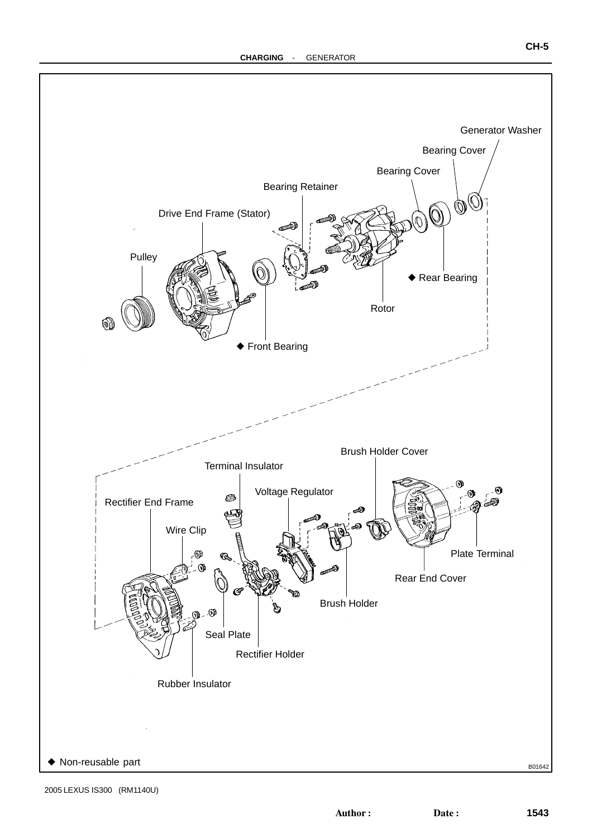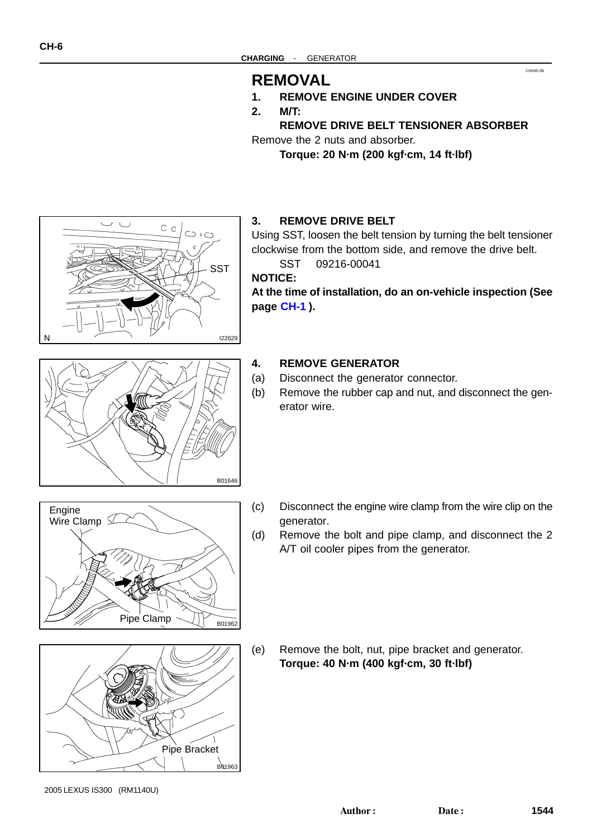### **REMOVAL**

- **1. REMOVE ENGINE UNDER COVER**
- **2. M/T:**

#### **REMOVE DRIVE BELT TENSIONER ABSORBER**

CH045-08

Remove the 2 nuts and absorber.

**Torque: 20 N·m (200 kgf·cm, 14 ft·lbf)**



#### **3. REMOVE DRIVE BELT**

Using SST, loosen the belt tension by turning the belt tensioner clockwise from the bottom side, and remove the drive belt.

SST 09216-00041

**NOTICE:**

**At the time of installation, do an on-vehicle inspection (See page [CH-1](#page-0-0) ).**

# B01646

#### **4. REMOVE GENERATOR**

- (a) Disconnect the generator connector.
- (b) Remove the rubber cap and nut, and disconnect the generator wire.





- (c) Disconnect the engine wire clamp from the wire clip on the generator.
- (d) Remove the bolt and pipe clamp, and disconnect the 2 A/T oil cooler pipes from the generator.

(e) Remove the bolt, nut, pipe bracket and generator. **Torque: 40 N·m (400 kgf·cm, 30 ft·lbf)**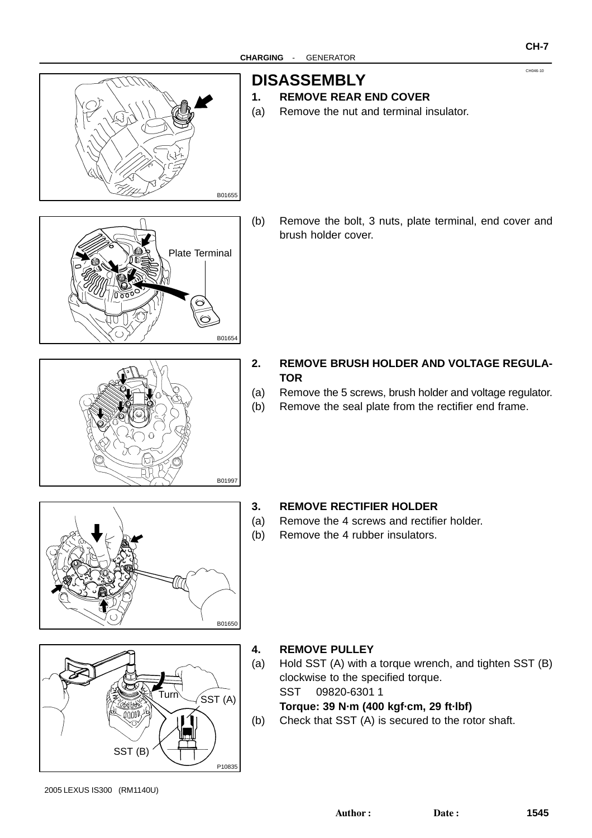

# **DISASSEMBLY**

- **1. REMOVE REAR END COVER**
- (a) Remove the nut and terminal insulator.



(b) Remove the bolt, 3 nuts, plate terminal, end cover and brush holder cover.

- B01997
- **2. REMOVE BRUSH HOLDER AND VOLTAGE REGULA-TOR**
- (a) Remove the 5 screws, brush holder and voltage regulator.
- (b) Remove the seal plate from the rectifier end frame.



#### **3. REMOVE RECTIFIER HOLDER**

- (a) Remove the 4 screws and rectifier holder.
- (b) Remove the 4 rubber insulators.



#### **4. REMOVE PULLEY**

- (a) Hold SST (A) with a torque wrench, and tighten SST (B) clockwise to the specified torque. SST 09820-6301 1 **Torque: 39 N·m (400 kgf·cm, 29 ft·lbf)**
- (b) Check that SST (A) is secured to the rotor shaft.

CH046-10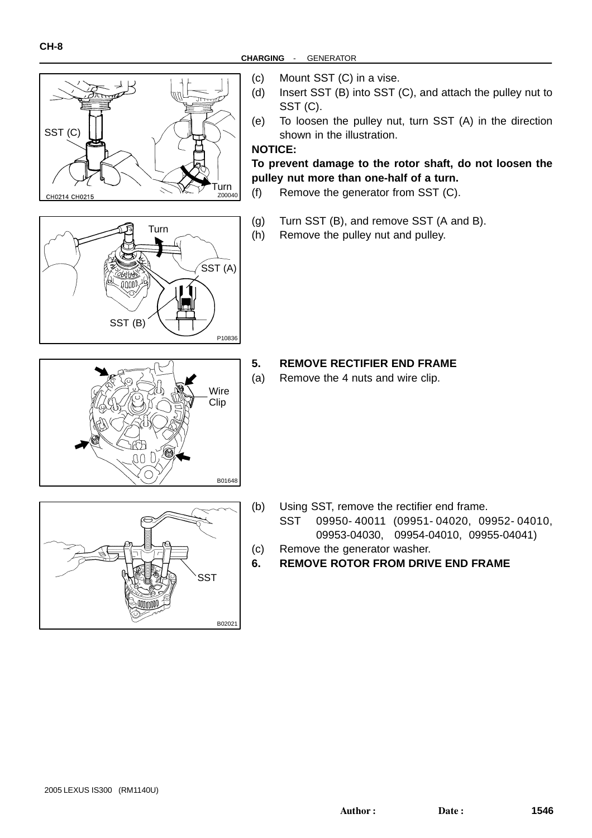





- **CHARGING** GENERATOR
	- (c) Mount SST (C) in a vise.
	- (d) Insert SST (B) into SST (C), and attach the pulley nut to SST (C).
	- (e) To loosen the pulley nut, turn SST (A) in the direction shown in the illustration.

#### **NOTICE:**

**To prevent damage to the rotor shaft, do not loosen the pulley nut more than one-half of a turn.**

- (f) Remove the generator from SST (C).
- (g) Turn SST (B), and remove SST (A and B).
- (h) Remove the pulley nut and pulley.

- **5. REMOVE RECTIFIER END FRAME**
- (a) Remove the 4 nuts and wire clip.



- (b) Using SST, remove the rectifier end frame. SST 09950- 40011 (09951- 04020, 09952- 04010, 09953-04030, 09954-04010, 09955-04041)
- (c) Remove the generator washer.
- **6. REMOVE ROTOR FROM DRIVE END FRAME**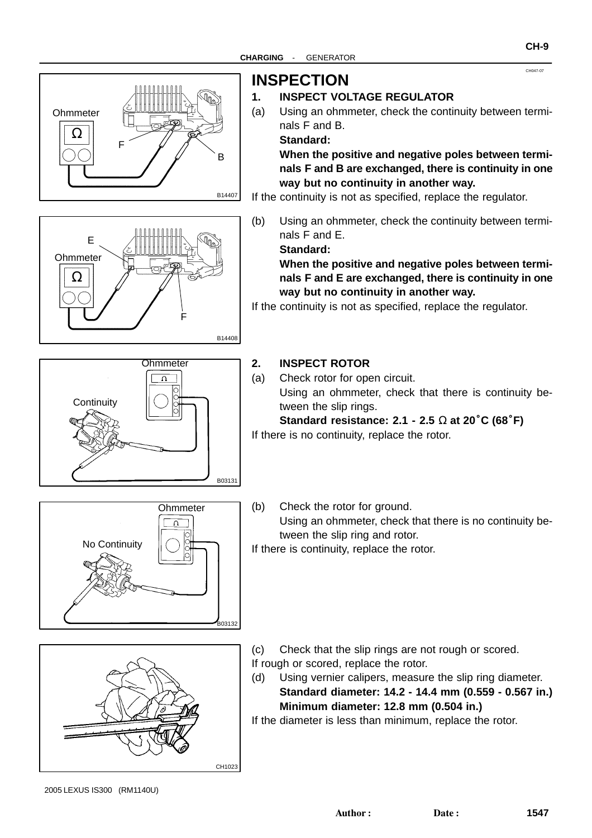

# B14407 F B **Ohmmeter** Ω



# **INSPECTION**

#### **1. INSPECT VOLTAGE REGULATOR**

(a) Using an ohmmeter, check the continuity between terminals F and B.

**Standard:**

**When the positive and negative poles between terminals F and B are exchanged, there is continuity in one way but no continuity in another way.**

If the continuity is not as specified, replace the regulator.

(b) Using an ohmmeter, check the continuity between terminals F and E.

**Standard:**

**When the positive and negative poles between terminals F and E are exchanged, there is continuity in one way but no continuity in another way.**

If the continuity is not as specified, replace the regulator.



#### **2. INSPECT ROTOR**

(a) Check rotor for open circuit. Using an ohmmeter, check that there is continuity between the slip rings. **Standard resistance: 2.1 - 2.5** Ω **at 20**°**C (68**°**F)**

If there is no continuity, replace the rotor.



(b) Check the rotor for ground. Using an ohmmeter, check that there is no continuity between the slip ring and rotor. If there is continuity, replace the rotor.



- (c) Check that the slip rings are not rough or scored. If rough or scored, replace the rotor.
- (d) Using vernier calipers, measure the slip ring diameter. **Standard diameter: 14.2 - 14.4 mm (0.559 - 0.567 in.) Minimum diameter: 12.8 mm (0.504 in.)**

If the diameter is less than minimum, replace the rotor.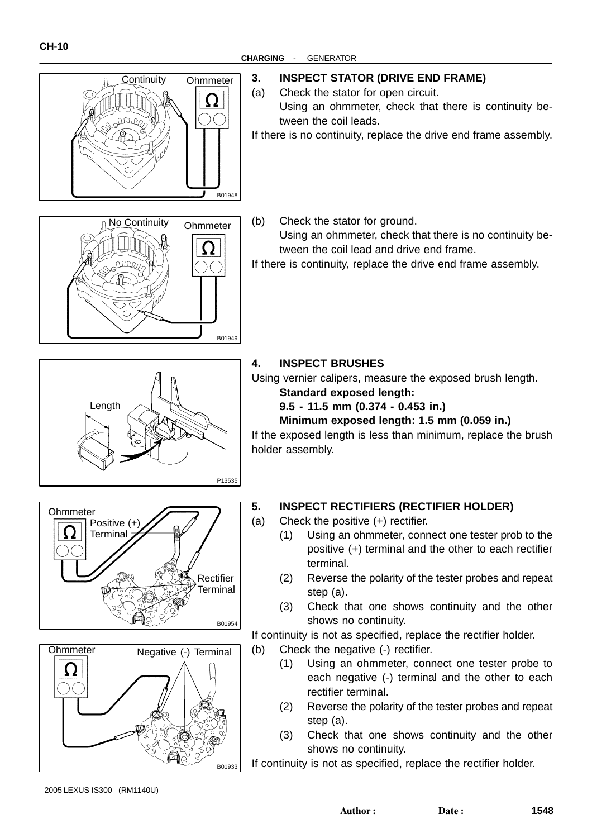

**CHARGING** - GENERATOR

#### **3. INSPECT STATOR (DRIVE END FRAME)**

- (a) Check the stator for open circuit.
- Using an ohmmeter, check that there is continuity between the coil leads.

If there is no continuity, replace the drive end frame assembly.



(b) Check the stator for ground. Using an ohmmeter, check that there is no continuity between the coil lead and drive end frame.

If there is continuity, replace the drive end frame assembly.







**4. INSPECT BRUSHES**

Using vernier calipers, measure the exposed brush length.

- **Standard exposed length:**
- **9.5 11.5 mm (0.374 0.453 in.)**

#### **Minimum exposed length: 1.5 mm (0.059 in.)**

If the exposed length is less than minimum, replace the brush holder assembly.

#### **5. INSPECT RECTIFIERS (RECTIFIER HOLDER)**

(a) Check the positive (+) rectifier.

- (1) Using an ohmmeter, connect one tester prob to the positive (+) terminal and the other to each rectifier terminal.
- (2) Reverse the polarity of the tester probes and repeat step (a).
- (3) Check that one shows continuity and the other shows no continuity.

If continuity is not as specified, replace the rectifier holder.

- (b) Check the negative (-) rectifier.
	- (1) Using an ohmmeter, connect one tester probe to each negative (-) terminal and the other to each rectifier terminal.
	- (2) Reverse the polarity of the tester probes and repeat step (a).
	- (3) Check that one shows continuity and the other shows no continuity.

If continuity is not as specified, replace the rectifier holder.

2005 LEXUS IS300 (RM1140U)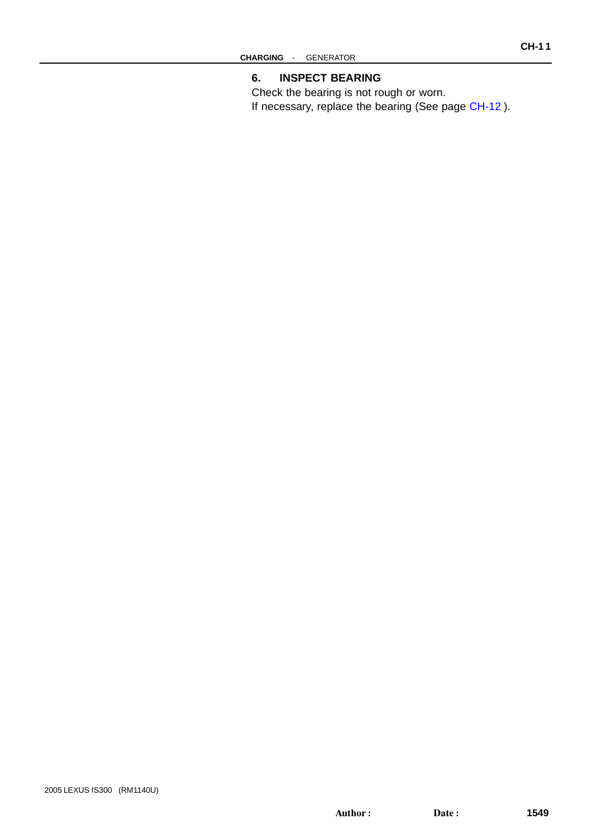Check the bearing is not rough or worn. If necessary, replace the bearing (See page [CH-12](#page-0-0) ).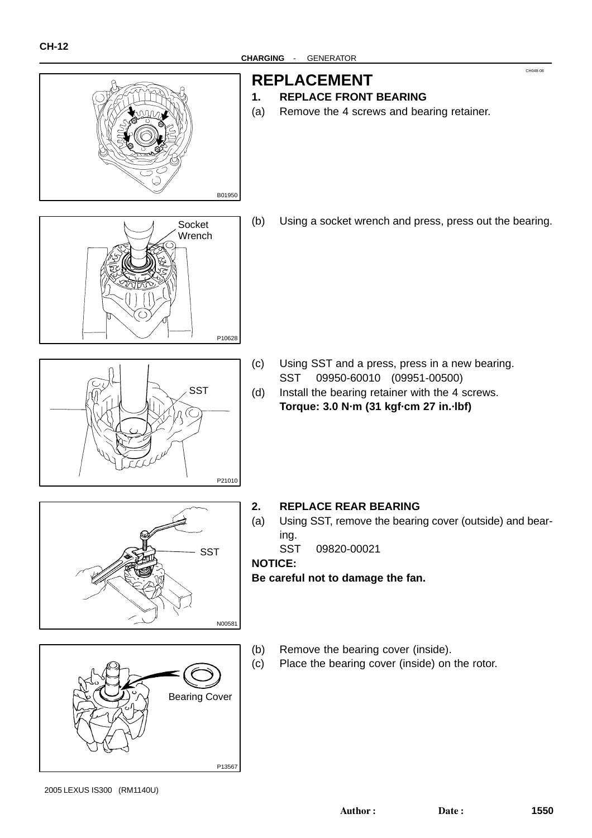

# **REPLACEMENT**

- **1. REPLACE FRONT BEARING**
- (a) Remove the 4 screws and bearing retainer.



(b) Using a socket wrench and press, press out the bearing.



- 
- (c) Using SST and a press, press in a new bearing. SST 09950-60010 (09951-00500)
- (d) Install the bearing retainer with the 4 screws. **Torque: 3.0 N·m (31 kgf·cm 27 in.·lbf)**

- **2. REPLACE REAR BEARING**
- (a) Using SST, remove the bearing cover (outside) and bearing.
	- SST 09820-00021

**NOTICE:**

N00581

**SST** 

**Be careful not to damage the fan.**

- P13567 Bearing Cover
- (b) Remove the bearing cover (inside).
- (c) Place the bearing cover (inside) on the rotor.

2005 LEXUS IS300 (RM1140U)

CH048-08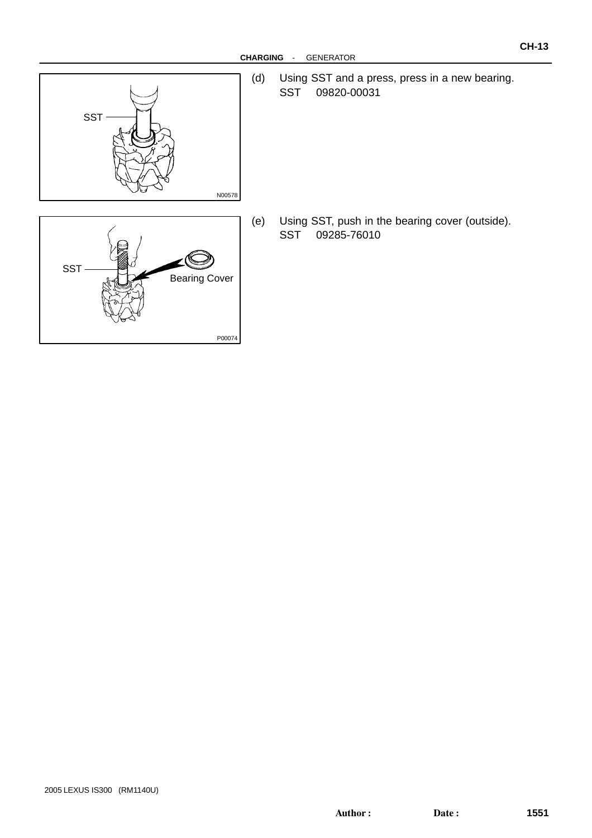

(d) Using SST and a press, press in a new bearing. SST 09820-00031

(e) Using SST, push in the bearing cover (outside). SST 09285-76010

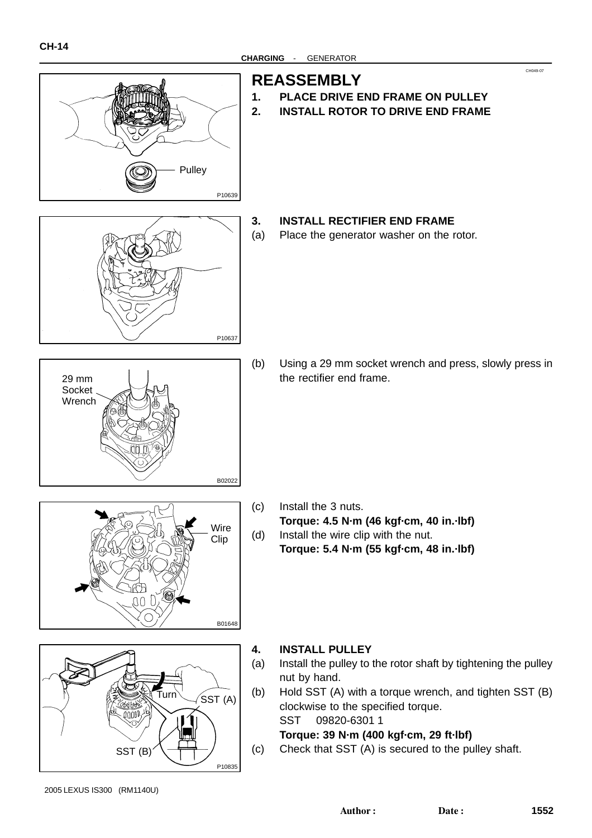

# **REASSEMBLY**

**1. PLACE DRIVE END FRAME ON PULLEY 2. INSTALL ROTOR TO DRIVE END FRAME**

P10637

#### **3. INSTALL RECTIFIER END FRAME**

(a) Place the generator washer on the rotor.

- B02022 29 mm Socket Wrench
- (b) Using a 29 mm socket wrench and press, slowly press in the rectifier end frame.
- Wire Clip W) B01648
- - (c) Install the 3 nuts. **Torque: 4.5 N·m (46 kgf·cm, 40 in.·lbf)** (d) Install the wire clip with the nut. **Torque: 5.4 N·m (55 kgf·cm, 48 in.·lbf)**



#### **4. INSTALL PULLEY**

- (a) Install the pulley to the rotor shaft by tightening the pulley nut by hand.
- (b) Hold SST (A) with a torque wrench, and tighten SST (B) clockwise to the specified torque. SST 09820-6301 1

**Torque: 39 N·m (400 kgf·cm, 29 ft·lbf)**

(c) Check that SST (A) is secured to the pulley shaft.

CH049-07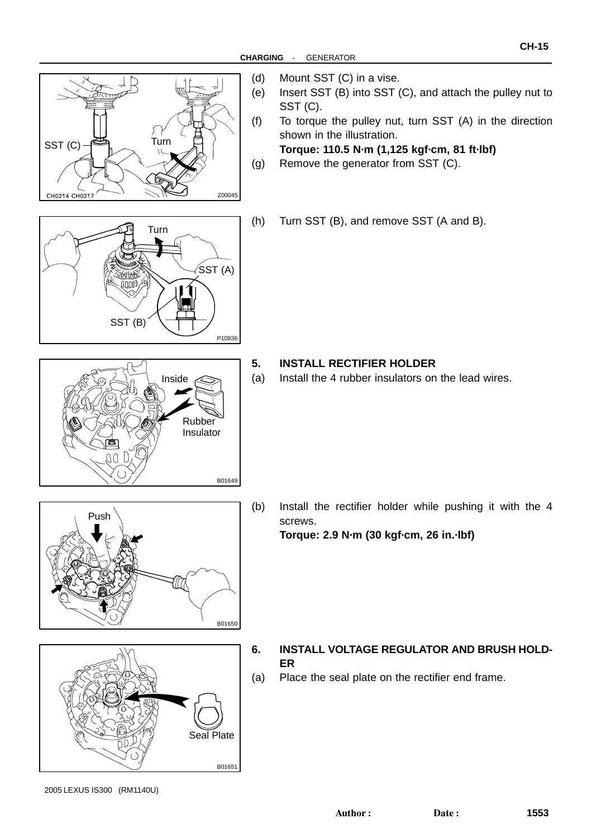

- (d) Mount SST (C) in a vise.
- (e) Insert SST (B) into SST (C), and attach the pulley nut to SST (C).
- (f) To torque the pulley nut, turn SST (A) in the direction shown in the illustration.

**Torque: 110.5 N·m (1,125 kgf·cm, 81 ft·lbf)** (g) Remove the generator from SST (C).

(h) Turn SST (B), and remove SST (A and B).





- **5. INSTALL RECTIFIER HOLDER**
- (a) Install the 4 rubber insulators on the lead wires.





(b) Install the rectifier holder while pushing it with the 4 screws. **Torque: 2.9 N·m (30 kgf·cm, 26 in.·lbf)**

- **6. INSTALL VOLTAGE REGULATOR AND BRUSH HOLD-ER**
- (a) Place the seal plate on the rectifier end frame.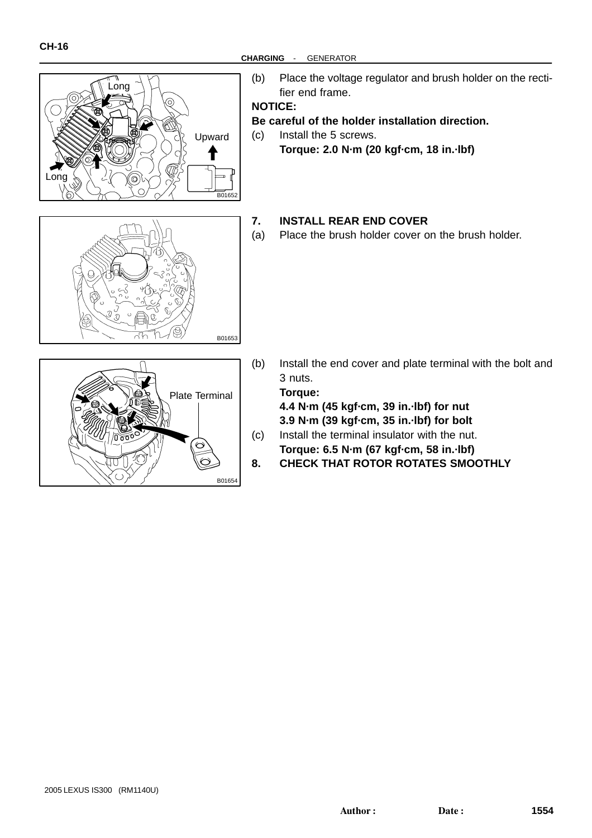

- Long Upward 4 Long B01652
- (b) Place the voltage regulator and brush holder on the rectifier end frame.

**NOTICE:**

- **Be careful of the holder installation direction.**
- (c) Install the 5 screws.
	- **Torque: 2.0 N·m (20 kgf·cm, 18 in.·lbf)**

#### **7. INSTALL REAR END COVER**

(a) Place the brush holder cover on the brush holder.



(b) Install the end cover and plate terminal with the bolt and 3 nuts.

**Torque:**

B01653

**4.4 N·m (45 kgf·cm, 39 in.·lbf) for nut 3.9 N·m (39 kgf·cm, 35 in.·lbf) for bolt**

- (c) Install the terminal insulator with the nut. **Torque: 6.5 N·m (67 kgf·cm, 58 in.·lbf)**
- **8. CHECK THAT ROTOR ROTATES SMOOTHLY**